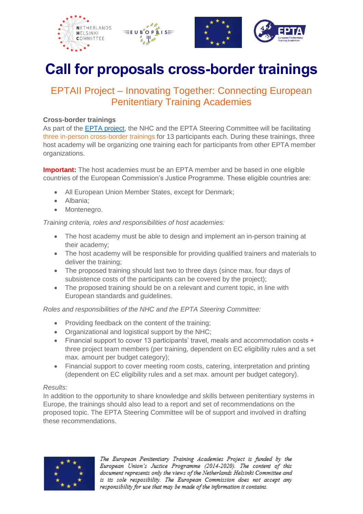





# **Call for proposals cross-border trainings**

## EPTAII Project – Innovating Together: Connecting European Penitentiary Training Academies

### **Cross-border trainings**

As part of the [EPTA project,](https://www.epta.info/blog-post/innovating-together-connecting-european-penitentiary-training-academies-2021-2024/) the NHC and the EPTA Steering Committee will be facilitating three in-person cross-border trainings for 13 participants each. During these trainings, three host academy will be organizing one training each for participants from other EPTA member organizations.

**Important:** The host academies must be an EPTA member and be based in one eligible countries of the European Commission's Justice Programme. These eligible countries are:

- All European Union Member States, except for Denmark;
- Albania;
- Montenegro.

*Training criteria, roles and responsibilities of host academies:*

- The host academy must be able to design and implement an in-person training at their academy;
- The host academy will be responsible for providing qualified trainers and materials to deliver the training;
- The proposed training should last two to three days (since max. four days of subsistence costs of the participants can be covered by the project);
- The proposed training should be on a relevant and current topic, in line with European standards and guidelines.

*Roles and responsibilities of the NHC and the EPTA Steering Committee:*

- Providing feedback on the content of the training;
- Organizational and logistical support by the NHC;
- Financial support to cover 13 participants' travel, meals and accommodation costs + three project team members (per training, dependent on EC eligibility rules and a set max. amount per budget category);
- Financial support to cover meeting room costs, catering, interpretation and printing (dependent on EC eligibility rules and a set max. amount per budget category).

#### *Results:*

In addition to the opportunity to share knowledge and skills between penitentiary systems in Europe, the trainings should also lead to a report and set of recommendations on the proposed topic. The EPTA Steering Committee will be of support and involved in drafting these recommendations.



The European Penitentiary Training Academies Project is funded by the European Union's Justice Programme (2014-2020). The content of this document represents only the views of the Netherlands Helsinki Committee and is its sole resposibility. The European Commission does not accept any responsibility for use that may be made of the information it contains.